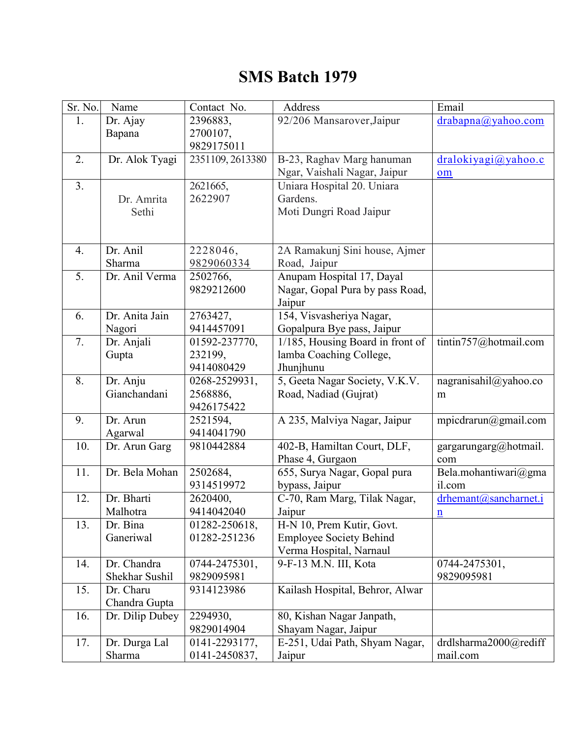## **SMS Batch 1979**

| Sr. No.        | Name                          | Contact No.                             | Address                                                                                | Email                                    |
|----------------|-------------------------------|-----------------------------------------|----------------------------------------------------------------------------------------|------------------------------------------|
| 1.             | Dr. Ajay<br>Bapana            | 2396883,<br>2700107,<br>9829175011      | 92/206 Mansarover, Jaipur                                                              | $drabapna(a)$ yahoo.com                  |
| 2.             | Dr. Alok Tyagi                | 2351109, 2613380                        | B-23, Raghav Marg hanuman<br>Ngar, Vaishali Nagar, Jaipur                              | dralokiyagi@yahoo.c<br>om                |
| 3 <sub>1</sub> | Dr. Amrita<br>Sethi           | 2621665,<br>2622907                     | Uniara Hospital 20. Uniara<br>Gardens.<br>Moti Dungri Road Jaipur                      |                                          |
| 4.             | Dr. Anil<br>Sharma            | 2228046,<br>9829060334                  | 2A Ramakunj Sini house, Ajmer<br>Road, Jaipur                                          |                                          |
| 5.             | Dr. Anil Verma                | 2502766,<br>9829212600                  | Anupam Hospital 17, Dayal<br>Nagar, Gopal Pura by pass Road,<br>Jaipur                 |                                          |
| 6.             | Dr. Anita Jain<br>Nagori      | 2763427,<br>9414457091                  | 154, Visvasheriya Nagar,<br>Gopalpura Bye pass, Jaipur                                 |                                          |
| 7.             | Dr. Anjali<br>Gupta           | 01592-237770,<br>232199,<br>9414080429  | 1/185, Housing Board in front of<br>lamba Coaching College,<br>Jhunjhunu               | tintin757@hotmail.com                    |
| 8.             | Dr. Anju<br>Gianchandani      | 0268-2529931,<br>2568886,<br>9426175422 | 5, Geeta Nagar Society, V.K.V.<br>Road, Nadiad (Gujrat)                                | nagranisahil@yahoo.co<br>m               |
| 9.             | Dr. Arun<br>Agarwal           | 2521594,<br>9414041790                  | A 235, Malviya Nagar, Jaipur                                                           | mpicdrarun@gmail.com                     |
| 10.            | Dr. Arun Garg                 | 9810442884                              | 402-B, Hamiltan Court, DLF,<br>Phase 4, Gurgaon                                        | gargarungarg@hotmail.<br>com             |
| 11.            | Dr. Bela Mohan                | 2502684,<br>9314519972                  | 655, Surya Nagar, Gopal pura<br>bypass, Jaipur                                         | Bela.mohantiwari@gma<br>il.com           |
| 12.            | Dr. Bharti<br>Malhotra        | 2620400,<br>9414042040                  | C-70, Ram Marg, Tilak Nagar,<br>Jaipur                                                 | drhemant@sancharnet.i<br>$\underline{n}$ |
| 13.            | Dr. Bina<br>Ganeriwal         | 01282-250618,<br>01282-251236           | H-N 10, Prem Kutir, Govt.<br><b>Employee Society Behind</b><br>Verma Hospital, Narnaul |                                          |
| 14.            | Dr. Chandra<br>Shekhar Sushil | 0744-2475301,<br>9829095981             | 9-F-13 M.N. III, Kota                                                                  | 0744-2475301,<br>9829095981              |
| 15.            | Dr. Charu<br>Chandra Gupta    | 9314123986                              | Kailash Hospital, Behror, Alwar                                                        |                                          |
| 16.            | Dr. Dilip Dubey               | 2294930,<br>9829014904                  | 80, Kishan Nagar Janpath,<br>Shayam Nagar, Jaipur                                      |                                          |
| 17.            | Dr. Durga Lal<br>Sharma       | 0141-2293177,<br>0141-2450837,          | E-251, Udai Path, Shyam Nagar,<br>Jaipur                                               | drdlsharma2000@rediff<br>mail.com        |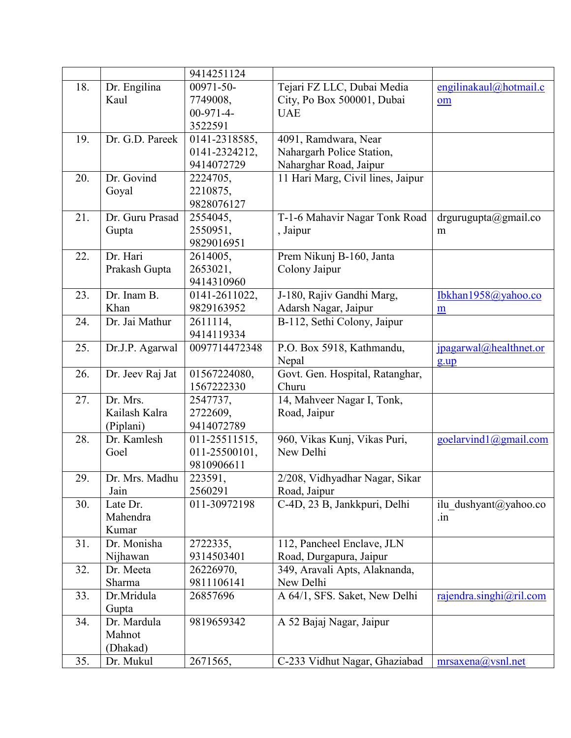|     |                  | 9414251124    |                                   |                         |
|-----|------------------|---------------|-----------------------------------|-------------------------|
| 18. | Dr. Engilina     | 00971-50-     | Tejari FZ LLC, Dubai Media        | engilinakaul@hotmail.c  |
|     | Kaul             | 7749008,      | City, Po Box 500001, Dubai        | om                      |
|     |                  | $00-971-4-$   | <b>UAE</b>                        |                         |
|     |                  | 3522591       |                                   |                         |
| 19. | Dr. G.D. Pareek  | 0141-2318585, | 4091, Ramdwara, Near              |                         |
|     |                  | 0141-2324212, | Nahargarh Police Station,         |                         |
|     |                  | 9414072729    | Naharghar Road, Jaipur            |                         |
|     | Dr. Govind       |               |                                   |                         |
| 20. |                  | 2224705,      | 11 Hari Marg, Civil lines, Jaipur |                         |
|     | Goyal            | 2210875,      |                                   |                         |
|     |                  | 9828076127    |                                   |                         |
| 21. | Dr. Guru Prasad  | 2554045,      | T-1-6 Mahavir Nagar Tonk Road     | $argurugupta$ @gmail.co |
|     | Gupta            | 2550951,      | , Jaipur                          | m                       |
|     |                  | 9829016951    |                                   |                         |
| 22. | Dr. Hari         | 2614005,      | Prem Nikunj B-160, Janta          |                         |
|     | Prakash Gupta    | 2653021,      | Colony Jaipur                     |                         |
|     |                  | 9414310960    |                                   |                         |
| 23. | Dr. Inam B.      | 0141-2611022, | J-180, Rajiv Gandhi Marg,         | Ibkhan1958@yahoo.co     |
|     | Khan             | 9829163952    | Adarsh Nagar, Jaipur              | $\underline{m}$         |
| 24. | Dr. Jai Mathur   | 2611114,      | B-112, Sethi Colony, Jaipur       |                         |
|     |                  | 9414119334    |                                   |                         |
| 25. | Dr.J.P. Agarwal  | 0097714472348 | P.O. Box 5918, Kathmandu,         | jpagarwal@healthnet.or  |
|     |                  |               | Nepal                             | $g \cdot up$            |
| 26. | Dr. Jeev Raj Jat | 01567224080,  | Govt. Gen. Hospital, Ratanghar,   |                         |
|     |                  | 1567222330    | Churu                             |                         |
| 27. | Dr. Mrs.         | 2547737,      | 14, Mahveer Nagar I, Tonk,        |                         |
|     | Kailash Kalra    | 2722609,      | Road, Jaipur                      |                         |
|     | (Piplani)        | 9414072789    |                                   |                         |
| 28. | Dr. Kamlesh      | 011-25511515, | 960, Vikas Kunj, Vikas Puri,      | goelarvind1@gmail.com   |
|     | Goel             | 011-25500101, | New Delhi                         |                         |
|     |                  | 9810906611    |                                   |                         |
| 29. | Dr. Mrs. Madhu   | 223591,       | 2/208, Vidhyadhar Nagar, Sikar    |                         |
|     | Jain             | 2560291       | Road, Jaipur                      |                         |
|     |                  | 011-30972198  |                                   |                         |
| 30. | Late Dr.         |               | C-4D, 23 B, Jankkpuri, Delhi      | ilu dushyant@yahoo.co   |
|     | Mahendra         |               |                                   | $\dot{m}$               |
|     | Kumar            |               |                                   |                         |
| 31. | Dr. Monisha      | 2722335,      | 112, Pancheel Enclave, JLN        |                         |
|     | Nijhawan         | 9314503401    | Road, Durgapura, Jaipur           |                         |
| 32. | Dr. Meeta        | 26226970,     | 349, Aravali Apts, Alaknanda,     |                         |
|     | Sharma           | 9811106141    | New Delhi                         |                         |
| 33. | Dr.Mridula       | 26857696      | A 64/1, SFS. Saket, New Delhi     | rajendra.singhi@ril.com |
|     | Gupta            |               |                                   |                         |
| 34. | Dr. Mardula      | 9819659342    | A 52 Bajaj Nagar, Jaipur          |                         |
|     | Mahnot           |               |                                   |                         |
|     | (Dhakad)         |               |                                   |                         |
| 35. | Dr. Mukul        | 2671565,      | C-233 Vidhut Nagar, Ghaziabad     | mrsaxena@vsnl.net       |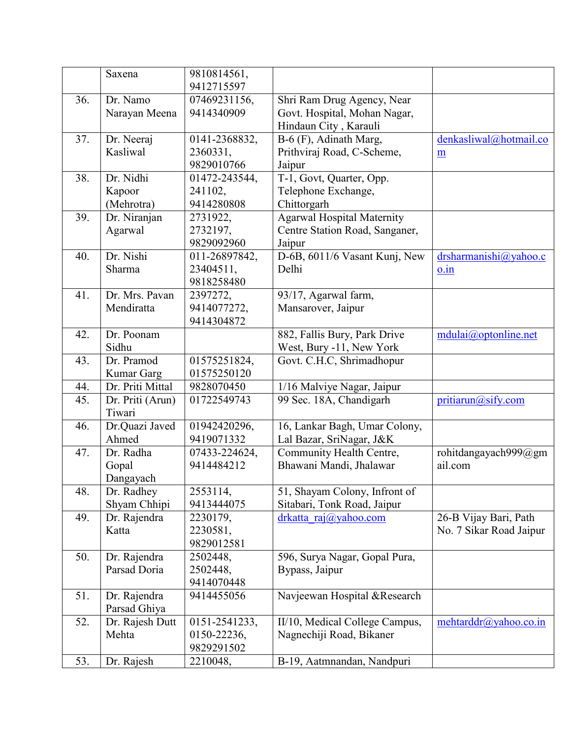|     | Saxena                         | 9810814561,<br>9412715597 |                                                       |                                    |
|-----|--------------------------------|---------------------------|-------------------------------------------------------|------------------------------------|
| 36. | Dr. Namo                       | 07469231156,              | Shri Ram Drug Agency, Near                            |                                    |
|     | Narayan Meena                  | 9414340909                | Govt. Hospital, Mohan Nagar,                          |                                    |
|     |                                |                           | Hindaun City, Karauli                                 |                                    |
| 37. | Dr. Neeraj                     | 0141-2368832,             | B-6 (F), Adinath Marg,                                | denkasliwal@hotmail.co             |
|     | Kasliwal                       | 2360331,                  | Prithviraj Road, C-Scheme,                            | m                                  |
|     |                                | 9829010766                | Jaipur                                                |                                    |
| 38. | Dr. Nidhi                      | 01472-243544,             | T-1, Govt, Quarter, Opp.                              |                                    |
|     | Kapoor                         | 241102,                   | Telephone Exchange,                                   |                                    |
|     | (Mehrotra)                     | 9414280808                | Chittorgarh                                           |                                    |
| 39. | Dr. Niranjan                   | 2731922,                  | <b>Agarwal Hospital Maternity</b>                     |                                    |
|     | Agarwal                        | 2732197,                  | Centre Station Road, Sanganer,                        |                                    |
|     |                                | 9829092960                | Jaipur                                                |                                    |
| 40. | Dr. Nishi                      | 011-26897842,             | D-6B, 6011/6 Vasant Kunj, New                         | drsharmanishi@yahoo.c              |
|     | Sharma                         | 23404511,                 | Delhi                                                 |                                    |
|     |                                | 9818258480                |                                                       | $0.\dot{1}n$                       |
| 41. | Dr. Mrs. Pavan                 | 2397272,                  | 93/17, Agarwal farm,                                  |                                    |
|     | Mendiratta                     | 9414077272,               | Mansarover, Jaipur                                    |                                    |
|     |                                | 9414304872                |                                                       |                                    |
| 42. | Dr. Poonam                     |                           | 882, Fallis Bury, Park Drive                          | $mdulai(\partial_t)$ optonline.net |
|     | Sidhu                          |                           |                                                       |                                    |
| 43. | Dr. Pramod                     | 01575251824,              | West, Bury -11, New York<br>Govt. C.H.C, Shrimadhopur |                                    |
|     |                                | 01575250120               |                                                       |                                    |
| 44. | Kumar Garg<br>Dr. Priti Mittal | 9828070450                |                                                       |                                    |
|     |                                | 01722549743               | 1/16 Malviye Nagar, Jaipur                            |                                    |
| 45. | Dr. Priti (Arun)<br>Tiwari     |                           | 99 Sec. 18A, Chandigarh                               | pritiarun@sify.com                 |
| 46. | Dr.Quazi Javed                 | 01942420296,              | 16, Lankar Bagh, Umar Colony,                         |                                    |
|     | Ahmed                          | 9419071332                | Lal Bazar, SriNagar, J&K                              |                                    |
| 47. | Dr. Radha                      | 07433-224624,             | Community Health Centre,                              | rohitdangayach999@gm               |
|     | Gopal                          | 9414484212                | Bhawani Mandi, Jhalawar                               | ail.com                            |
|     | Dangayach                      |                           |                                                       |                                    |
| 48. | Dr. Radhey                     | 2553114,                  | 51, Shayam Colony, Infront of                         |                                    |
|     | Shyam Chhipi                   | 9413444075                | Sitabari, Tonk Road, Jaipur                           |                                    |
| 49. | Dr. Rajendra                   | 2230179,                  | $drkatta \, raj(\partial yahoo.com)$                  | 26-B Vijay Bari, Path              |
|     | Katta                          | 2230581,                  |                                                       | No. 7 Sikar Road Jaipur            |
|     |                                | 9829012581                |                                                       |                                    |
| 50. | Dr. Rajendra                   | 2502448,                  | 596, Surya Nagar, Gopal Pura,                         |                                    |
|     | Parsad Doria                   | 2502448,                  | Bypass, Jaipur                                        |                                    |
|     |                                | 9414070448                |                                                       |                                    |
| 51. | Dr. Rajendra                   | 9414455056                | Navjeewan Hospital &Research                          |                                    |
|     | Parsad Ghiya                   |                           |                                                       |                                    |
| 52. | Dr. Rajesh Dutt                | 0151-2541233,             | II/10, Medical College Campus,                        | mehtarddr@yahoo.co.in              |
|     | Mehta                          | 0150-22236,               | Nagnechiji Road, Bikaner                              |                                    |
|     |                                | 9829291502                |                                                       |                                    |
| 53. | Dr. Rajesh                     | 2210048,                  | B-19, Aatmnandan, Nandpuri                            |                                    |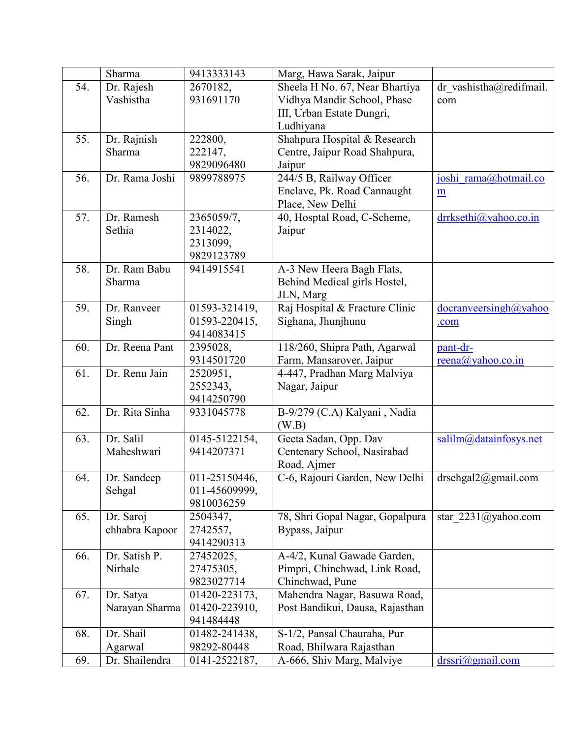|     | Sharma         | 9413333143                   | Marg, Hawa Sarak, Jaipur                                |                             |
|-----|----------------|------------------------------|---------------------------------------------------------|-----------------------------|
| 54. | Dr. Rajesh     | 2670182,                     | Sheela H No. 67, Near Bhartiya                          | dr vashistha@redifmail.     |
|     | Vashistha      | 931691170                    | Vidhya Mandir School, Phase                             | com                         |
|     |                |                              | III, Urban Estate Dungri,                               |                             |
|     |                |                              | Ludhiyana                                               |                             |
| 55. | Dr. Rajnish    | 222800,                      | Shahpura Hospital & Research                            |                             |
|     | Sharma         | 222147,                      | Centre, Jaipur Road Shahpura,                           |                             |
|     |                | 9829096480                   | Jaipur                                                  |                             |
| 56. | Dr. Rama Joshi | 9899788975                   | 244/5 B, Railway Officer                                | joshi rama@hotmail.co       |
|     |                |                              | Enclave, Pk. Road Cannaught                             | m                           |
|     |                |                              | Place, New Delhi                                        |                             |
| 57. | Dr. Ramesh     | 2365059/7,                   | 40, Hosptal Road, C-Scheme,                             | drrksethi@yahoo.co.in       |
|     | Sethia         | 2314022,                     | Jaipur                                                  |                             |
|     |                | 2313099,                     |                                                         |                             |
|     |                | 9829123789                   |                                                         |                             |
| 58. | Dr. Ram Babu   | 9414915541                   | A-3 New Heera Bagh Flats,                               |                             |
|     | Sharma         |                              | Behind Medical girls Hostel,                            |                             |
|     |                |                              | JLN, Marg                                               |                             |
| 59. | Dr. Ranveer    | 01593-321419,                | Raj Hospital & Fracture Clinic                          | docranveersingh@yahoo       |
|     | Singh          | 01593-220415,                | Sighana, Jhunjhunu                                      | .com                        |
|     |                | 9414083415                   |                                                         |                             |
| 60. | Dr. Reena Pant | 2395028,                     | 118/260, Shipra Path, Agarwal                           | pant-dr-                    |
|     |                | 9314501720                   | Farm, Mansarover, Jaipur                                | $reena$ ( $a$ ) yahoo.co.in |
| 61. | Dr. Renu Jain  | 2520951,                     | 4-447, Pradhan Marg Malviya                             |                             |
|     |                | 2552343,                     | Nagar, Jaipur                                           |                             |
|     |                | 9414250790                   |                                                         |                             |
| 62. | Dr. Rita Sinha | 9331045778                   | B-9/279 (C.A) Kalyani, Nadia                            |                             |
|     |                |                              | (W.B)                                                   |                             |
| 63. | Dr. Salil      | 0145-5122154,                | Geeta Sadan, Opp. Dav                                   | salilm@datainfosys.net      |
|     | Maheshwari     | 9414207371                   | Centenary School, Nasirabad                             |                             |
|     |                |                              | Road, Ajmer                                             |                             |
| 64. | Dr. Sandeep    | 011-25150446,                | C-6, Rajouri Garden, New Delhi                          | drsehgal2@gmail.com         |
|     | Sehgal         | 011-45609999,                |                                                         |                             |
|     |                | 9810036259                   |                                                         |                             |
| 65. | Dr. Saroj      | 2504347,                     | 78, Shri Gopal Nagar, Gopalpura                         | star $2231$ (a) yahoo.com   |
|     | chhabra Kapoor | 2742557,                     | Bypass, Jaipur                                          |                             |
|     |                | 9414290313                   |                                                         |                             |
| 66. | Dr. Satish P.  | 27452025,                    | A-4/2, Kunal Gawade Garden,                             |                             |
|     | Nirhale        | 27475305,                    | Pimpri, Chinchwad, Link Road,                           |                             |
|     |                | 9823027714                   | Chinchwad, Pune                                         |                             |
| 67. | Dr. Satya      | 01420-223173,                | Mahendra Nagar, Basuwa Road,                            |                             |
|     |                | 01420-223910,                | Post Bandikui, Dausa, Rajasthan                         |                             |
|     | Narayan Sharma | 941484448                    |                                                         |                             |
| 68. | Dr. Shail      |                              |                                                         |                             |
|     |                | 01482-241438,<br>98292-80448 | S-1/2, Pansal Chauraha, Pur<br>Road, Bhilwara Rajasthan |                             |
|     | Agarwal        |                              |                                                         |                             |
| 69. | Dr. Shailendra | 0141-2522187,                | A-666, Shiv Marg, Malviye                               | $drssri(a)$ gmail.com       |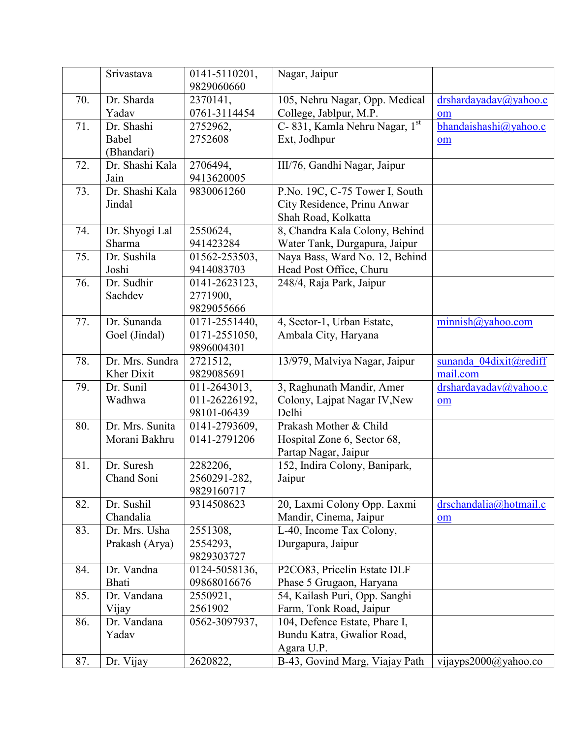|     | Srivastava      | 0141-5110201, | Nagar, Jaipur                  |                        |
|-----|-----------------|---------------|--------------------------------|------------------------|
|     |                 | 9829060660    |                                |                        |
| 70. | Dr. Sharda      | 2370141,      | 105, Nehru Nagar, Opp. Medical | drshardayadav@yahoo.c  |
|     | Yadav           | 0761-3114454  | College, Jablpur, M.P.         | om                     |
| 71. | Dr. Shashi      | 2752962,      | C-831, Kamla Nehru Nagar, 1st  | bhandaishashi@yahoo.c  |
|     | Babel           | 2752608       | Ext, Jodhpur                   | om                     |
|     | (Bhandari)      |               |                                |                        |
| 72. | Dr. Shashi Kala | 2706494,      | III/76, Gandhi Nagar, Jaipur   |                        |
|     | Jain            | 9413620005    |                                |                        |
| 73. | Dr. Shashi Kala | 9830061260    | P.No. 19C, C-75 Tower I, South |                        |
|     | Jindal          |               | City Residence, Prinu Anwar    |                        |
|     |                 |               | Shah Road, Kolkatta            |                        |
| 74. | Dr. Shyogi Lal  | 2550624,      | 8, Chandra Kala Colony, Behind |                        |
|     | Sharma          | 941423284     | Water Tank, Durgapura, Jaipur  |                        |
| 75. | Dr. Sushila     | 01562-253503, | Naya Bass, Ward No. 12, Behind |                        |
|     | Joshi           | 9414083703    | Head Post Office, Churu        |                        |
| 76. | Dr. Sudhir      | 0141-2623123, | 248/4, Raja Park, Jaipur       |                        |
|     | Sachdev         | 2771900,      |                                |                        |
|     |                 | 9829055666    |                                |                        |
| 77. | Dr. Sunanda     | 0171-2551440, | 4, Sector-1, Urban Estate,     | minimish@yahoo.com     |
|     | Goel (Jindal)   | 0171-2551050, | Ambala City, Haryana           |                        |
|     |                 | 9896004301    |                                |                        |
| 78. | Dr. Mrs. Sundra | 2721512,      | 13/979, Malviya Nagar, Jaipur  | sunanda 04dixit@rediff |
|     | Kher Dixit      | 9829085691    |                                | mail.com               |
| 79. | Dr. Sunil       | 011-2643013,  | 3, Raghunath Mandir, Amer      | drshardayadav@yahoo.c  |
|     | Wadhwa          | 011-26226192, | Colony, Lajpat Nagar IV, New   | om                     |
|     |                 | 98101-06439   | Delhi                          |                        |
| 80. | Dr. Mrs. Sunita | 0141-2793609, | Prakash Mother & Child         |                        |
|     | Morani Bakhru   | 0141-2791206  | Hospital Zone 6, Sector 68,    |                        |
|     |                 |               | Partap Nagar, Jaipur           |                        |
| 81. | Dr. Suresh      | 2282206,      | 152, Indira Colony, Banipark,  |                        |
|     | Chand Soni      | 2560291-282,  | Jaipur                         |                        |
|     |                 | 9829160717    |                                |                        |
| 82. | Dr. Sushil      | 9314508623    | 20, Laxmi Colony Opp. Laxmi    | drschandalia@hotmail.c |
|     | Chandalia       |               | Mandir, Cinema, Jaipur         | om                     |
| 83. | Dr. Mrs. Usha   | 2551308,      | L-40, Income Tax Colony,       |                        |
|     | Prakash (Arya)  | 2554293,      | Durgapura, Jaipur              |                        |
|     |                 | 9829303727    |                                |                        |
| 84. | Dr. Vandna      | 0124-5058136, | P2CO83, Pricelin Estate DLF    |                        |
|     | Bhati           | 09868016676   | Phase 5 Grugaon, Haryana       |                        |
| 85. | Dr. Vandana     | 2550921,      | 54, Kailash Puri, Opp. Sanghi  |                        |
|     | Vijay           | 2561902       | Farm, Tonk Road, Jaipur        |                        |
| 86. | Dr. Vandana     | 0562-3097937, | 104, Defence Estate, Phare I,  |                        |
|     | Yadav           |               | Bundu Katra, Gwalior Road,     |                        |
|     |                 |               | Agara U.P.                     |                        |
| 87. | Dr. Vijay       | 2620822,      | B-43, Govind Marg, Viajay Path | vijayps2000@yahoo.co   |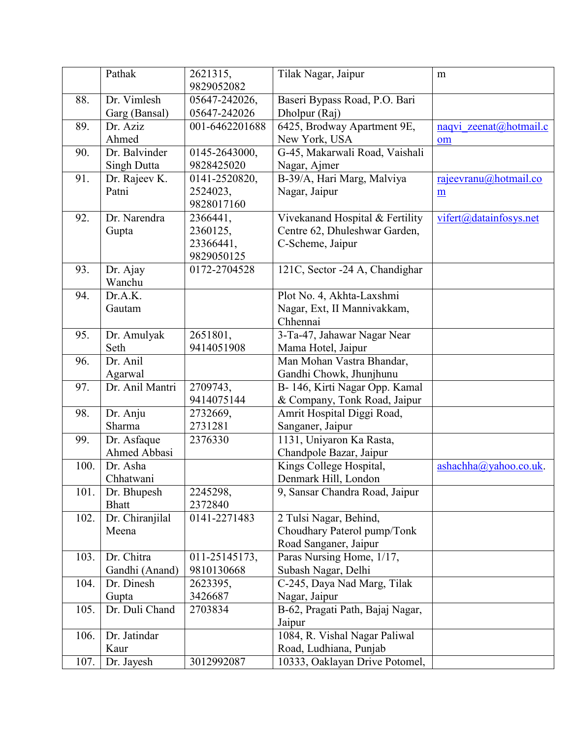|      | Pathak          | 2621315,       | Tilak Nagar, Jaipur              | m                      |
|------|-----------------|----------------|----------------------------------|------------------------|
|      |                 | 9829052082     |                                  |                        |
| 88.  | Dr. Vimlesh     | 05647-242026,  | Baseri Bypass Road, P.O. Bari    |                        |
|      | Garg (Bansal)   | 05647-242026   | Dholpur (Raj)                    |                        |
| 89.  | Dr. Aziz        | 001-6462201688 | 6425, Brodway Apartment 9E,      | naqvi zeenat@hotmail.c |
|      | Ahmed           |                | New York, USA                    | om                     |
| 90.  | Dr. Balvinder   | 0145-2643000,  | G-45, Makarwali Road, Vaishali   |                        |
|      | Singh Dutta     | 9828425020     | Nagar, Ajmer                     |                        |
| 91.  | Dr. Rajeev K.   | 0141-2520820,  | B-39/A, Hari Marg, Malviya       | rajeevranu@hotmail.co  |
|      | Patni           | 2524023,       | Nagar, Jaipur                    | m                      |
|      |                 | 9828017160     |                                  |                        |
| 92.  | Dr. Narendra    | 2366441,       | Vivekanand Hospital & Fertility  | vifert@datainfosys.net |
|      | Gupta           | 2360125,       | Centre 62, Dhuleshwar Garden,    |                        |
|      |                 | 23366441,      | C-Scheme, Jaipur                 |                        |
|      |                 | 9829050125     |                                  |                        |
| 93.  | Dr. Ajay        | 0172-2704528   | 121C, Sector -24 A, Chandighar   |                        |
|      | Wanchu          |                |                                  |                        |
| 94.  | Dr.A.K.         |                | Plot No. 4, Akhta-Laxshmi        |                        |
|      | Gautam          |                | Nagar, Ext, II Mannivakkam,      |                        |
|      |                 |                | Chhennai                         |                        |
| 95.  | Dr. Amulyak     | 2651801,       | 3-Ta-47, Jahawar Nagar Near      |                        |
|      | Seth            | 9414051908     | Mama Hotel, Jaipur               |                        |
| 96.  | Dr. Anil        |                | Man Mohan Vastra Bhandar,        |                        |
|      | Agarwal         |                | Gandhi Chowk, Jhunjhunu          |                        |
| 97.  | Dr. Anil Mantri | 2709743,       | B- 146, Kirti Nagar Opp. Kamal   |                        |
|      |                 | 9414075144     | & Company, Tonk Road, Jaipur     |                        |
| 98.  | Dr. Anju        | 2732669,       | Amrit Hospital Diggi Road,       |                        |
|      | Sharma          | 2731281        | Sanganer, Jaipur                 |                        |
| 99.  | Dr. Asfaque     | 2376330        | 1131, Uniyaron Ka Rasta,         |                        |
|      | Ahmed Abbasi    |                | Chandpole Bazar, Jaipur          |                        |
| 100. | Dr. Asha        |                | Kings College Hospital,          | ashachha@yahoo.co.uk.  |
|      | Chhatwani       |                | Denmark Hill, London             |                        |
| 101. | Dr. Bhupesh     | 2245298,       | 9, Sansar Chandra Road, Jaipur   |                        |
|      | <b>Bhatt</b>    | 2372840        |                                  |                        |
| 102. | Dr. Chiranjilal | 0141-2271483   | 2 Tulsi Nagar, Behind,           |                        |
|      | Meena           |                | Choudhary Paterol pump/Tonk      |                        |
|      |                 |                | Road Sanganer, Jaipur            |                        |
| 103. | Dr. Chitra      | 011-25145173,  | Paras Nursing Home, 1/17,        |                        |
|      | Gandhi (Anand)  | 9810130668     | Subash Nagar, Delhi              |                        |
| 104. | Dr. Dinesh      | 2623395,       | C-245, Daya Nad Marg, Tilak      |                        |
|      | Gupta           | 3426687        | Nagar, Jaipur                    |                        |
| 105. | Dr. Duli Chand  | 2703834        | B-62, Pragati Path, Bajaj Nagar, |                        |
|      |                 |                | Jaipur                           |                        |
| 106. | Dr. Jatindar    |                | 1084, R. Vishal Nagar Paliwal    |                        |
|      | Kaur            |                | Road, Ludhiana, Punjab           |                        |
| 107. | Dr. Jayesh      | 3012992087     | 10333, Oaklayan Drive Potomel,   |                        |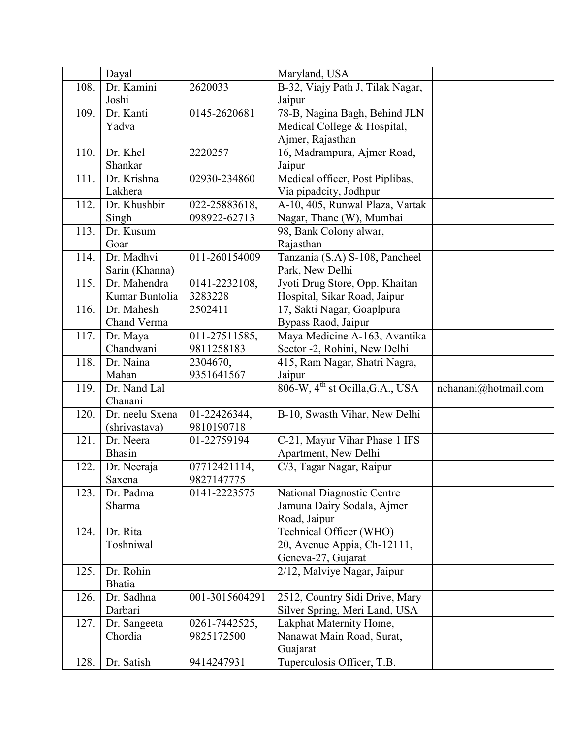|      | Dayal           |                | Maryland, USA                        |                      |
|------|-----------------|----------------|--------------------------------------|----------------------|
| 108. | Dr. Kamini      | 2620033        | B-32, Viajy Path J, Tilak Nagar,     |                      |
|      | Joshi           |                | Jaipur                               |                      |
| 109. | Dr. Kanti       | 0145-2620681   | 78-B, Nagina Bagh, Behind JLN        |                      |
|      | Yadva           |                | Medical College & Hospital,          |                      |
|      |                 |                | Ajmer, Rajasthan                     |                      |
| 110. | Dr. Khel        | 2220257        | 16, Madrampura, Ajmer Road,          |                      |
|      | Shankar         |                | Jaipur                               |                      |
| 111. | Dr. Krishna     | 02930-234860   | Medical officer, Post Piplibas,      |                      |
|      | Lakhera         |                | Via pipadcity, Jodhpur               |                      |
| 112. | Dr. Khushbir    | 022-25883618,  | A-10, 405, Runwal Plaza, Vartak      |                      |
|      | Singh           | 098922-62713   | Nagar, Thane (W), Mumbai             |                      |
| 113. | Dr. Kusum       |                | 98, Bank Colony alwar,               |                      |
|      | Goar            |                | Rajasthan                            |                      |
| 114. | Dr. Madhvi      | 011-260154009  | Tanzania (S.A) S-108, Pancheel       |                      |
|      | Sarin (Khanna)  |                | Park, New Delhi                      |                      |
| 115. | Dr. Mahendra    | 0141-2232108,  | Jyoti Drug Store, Opp. Khaitan       |                      |
|      | Kumar Buntolia  | 3283228        | Hospital, Sikar Road, Jaipur         |                      |
| 116. | Dr. Mahesh      | 2502411        | 17, Sakti Nagar, Goaplpura           |                      |
|      | Chand Verma     |                | Bypass Raod, Jaipur                  |                      |
| 117. | Dr. Maya        | 011-27511585,  | Maya Medicine A-163, Avantika        |                      |
|      | Chandwani       | 9811258183     | Sector -2, Rohini, New Delhi         |                      |
| 118. | Dr. Naina       | 2304670,       | 415, Ram Nagar, Shatri Nagra,        |                      |
|      | Mahan           | 9351641567     | Jaipur                               |                      |
| 119. | Dr. Nand Lal    |                | 806-W, $4^{th}$ st Ocilla, G.A., USA | nchanani@hotmail.com |
|      | Chanani         |                |                                      |                      |
| 120. | Dr. neelu Sxena | 01-22426344,   | B-10, Swasth Vihar, New Delhi        |                      |
|      | (shrivastava)   | 9810190718     |                                      |                      |
| 121. | Dr. Neera       | 01-22759194    | C-21, Mayur Vihar Phase 1 IFS        |                      |
|      | <b>Bhasin</b>   |                | Apartment, New Delhi                 |                      |
| 122. | Dr. Neeraja     | 07712421114,   | C/3, Tagar Nagar, Raipur             |                      |
|      | Saxena          | 9827147775     |                                      |                      |
| 123. | Dr. Padma       | 0141-2223575   | National Diagnostic Centre           |                      |
|      | Sharma          |                | Jamuna Dairy Sodala, Ajmer           |                      |
|      |                 |                | Road, Jaipur                         |                      |
| 124. | Dr. Rita        |                | Technical Officer (WHO)              |                      |
|      | Toshniwal       |                | 20, Avenue Appia, Ch-12111,          |                      |
|      |                 |                | Geneva-27, Gujarat                   |                      |
| 125. | Dr. Rohin       |                | 2/12, Malviye Nagar, Jaipur          |                      |
|      | <b>Bhatia</b>   |                |                                      |                      |
| 126. | Dr. Sadhna      | 001-3015604291 | 2512, Country Sidi Drive, Mary       |                      |
|      | Darbari         |                | Silver Spring, Meri Land, USA        |                      |
| 127. | Dr. Sangeeta    | 0261-7442525,  | Lakphat Maternity Home,              |                      |
|      | Chordia         | 9825172500     | Nanawat Main Road, Surat,            |                      |
|      |                 |                | Guajarat                             |                      |
| 128. | Dr. Satish      | 9414247931     | Tuperculosis Officer, T.B.           |                      |